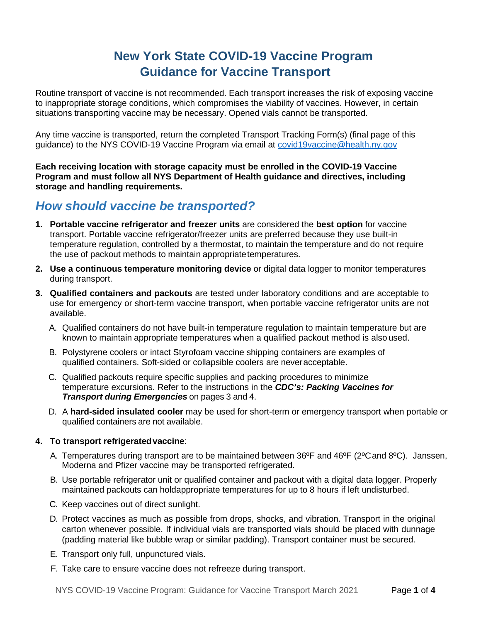# **New York State COVID-19 Vaccine Program Guidance for Vaccine Transport**

Routine transport of vaccine is not recommended. Each transport increases the risk of exposing vaccine to inappropriate storage conditions, which compromises the viability of vaccines. However, in certain situations transporting vaccine may be necessary. Opened vials cannot be transported.

Any time vaccine is transported, return the completed Transport Tracking Form(s) (final page of this guidance) to the NYS COVID-19 Vaccine Program via email at [covid19vaccine@health.ny.gov](mailto:covid19vaccine@health.ny.gov)

**Each receiving location with storage capacity must be enrolled in the COVID-19 Vaccine Program and must follow all NYS Department of Health guidance and directives, including storage and handling requirements.**

## *How should vaccine be transported?*

- **1. Portable vaccine refrigerator and freezer units** are considered the **best option** for vaccine transport. Portable vaccine refrigerator/freezer units are preferred because they use built-in temperature regulation, controlled by a thermostat, to maintain the temperature and do not require the use of packout methods to maintain appropriatetemperatures.
- **2. Use a continuous temperature monitoring device** or digital data logger to monitor temperatures during transport.
- **3. Qualified containers and packouts** are tested under laboratory conditions and are acceptable to use for emergency or short-term vaccine transport, when portable vaccine refrigerator units are not available.
	- A. Qualified containers do not have built-in temperature regulation to maintain temperature but are known to maintain appropriate temperatures when a qualified packout method is also used.
	- B. Polystyrene coolers or intact Styrofoam vaccine shipping containers are examples of qualified containers. Soft-sided or collapsible coolers are neveracceptable.
	- C. Qualified packouts require specific supplies and packing procedures to minimize temperature excursions. Refer to the instructions in the *CDC's: Packing Vaccines for Transport during Emergencies* on pages 3 and 4.
	- D. A **hard-sided insulated cooler** may be used for short-term or emergency transport when portable or qualified containers are not available.

## **4. To transport refrigeratedvaccine**:

- A. Temperatures during transport are to be maintained between 36ºF and 46ºF (2ºCand 8ºC). Janssen, Moderna and Pfizer vaccine may be transported refrigerated.
- B. Use portable refrigerator unit or qualified container and packout with a digital data logger. Properly maintained packouts can holdappropriate temperatures for up to 8 hours if left undisturbed.
- C. Keep vaccines out of direct sunlight.
- D. Protect vaccines as much as possible from drops, shocks, and vibration. Transport in the original carton whenever possible. If individual vials are transported vials should be placed with dunnage (padding material like bubble wrap or similar padding). Transport container must be secured.
- E. Transport only full, unpunctured vials.
- F. Take care to ensure vaccine does not [refreeze during t](https://www.cdc.gov/vaccines/covid-19/info-by-product/moderna/downloads/bud-tracking-labels.pdf)ranspor[t.](https://www.cdc.gov/vaccines/covid-19/info-by-product/pfizer/downloads/bud-tracking-labels.pdf)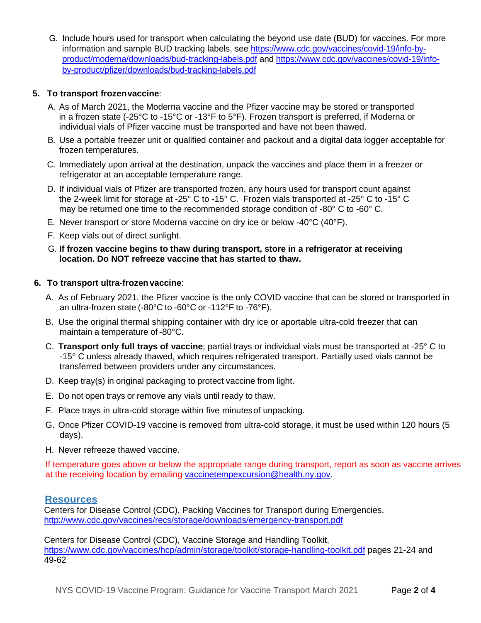G. Include hours used for transport when calculating the beyond use date (BUD) for vaccines. For more information and sample BUD tracking labels, see [https://www.cdc.gov/vaccines/covid-19/info-by](https://www.cdc.gov/vaccines/covid-19/info-by-product/moderna/downloads/bud-tracking-labels.pdf)[product/moderna/downloads/bud-tracking-labels.pdf](https://www.cdc.gov/vaccines/covid-19/info-by-product/moderna/downloads/bud-tracking-labels.pdf) and [https://www.cdc.gov/vaccines/covid-19/info](https://www.cdc.gov/vaccines/covid-19/info-by-product/pfizer/downloads/bud-tracking-labels.pdf)[by-product/pfizer/downloads/bud-tracking-labels.pdf](https://www.cdc.gov/vaccines/covid-19/info-by-product/pfizer/downloads/bud-tracking-labels.pdf)

## **5. To transport frozenvaccine**:

- A. As of March 2021, the Moderna vaccine and the Pfizer vaccine may be stored or transported in a frozen state (-25°C to -15°C or -13°F to 5°F). Frozen transport is preferred, if Moderna or individual vials of Pfizer vaccine must be transported and have not been thawed.
- B. Use a portable freezer unit or qualified container and packout and a digital data logger acceptable for frozen temperatures.
- C. Immediately upon arrival at the destination, unpack the vaccines and place them in a freezer or refrigerator at an acceptable temperature range.
- D. If individual vials of Pfizer are transported frozen, any hours used for transport count against the 2-week limit for storage at -25° C to -15° C. Frozen vials transported at -25° C to -15° C may be returned one time to the recommended storage condition of -80° C to -60° C.
- E. Never transport or store Moderna vaccine on dry ice or below -40°C (40°F).
- F. Keep vials out of direct sunlight.
- G. **If frozen vaccine begins to thaw during transport, store in a refrigerator at receiving location. Do NOT refreeze vaccine that has started to thaw.**

## **6. To transport ultra-frozenvaccine**:

- A. As of February 2021, the Pfizer vaccine is the only COVID vaccine that can be stored or transported in an ultra-frozen state (-80°C to -60°C or -112°F to -76°F).
- B. Use the original thermal shipping container with dry ice or aportable ultra-cold freezer that can maintain a temperature of -80°C.
- C. **Transport only full trays of vaccine**; partial trays or individual vials must be transported at -25° C to -15° C unless already thawed, which requires refrigerated transport. Partially used vials cannot be transferred between providers under any circumstances.
- D. Keep tray(s) in original packaging to protect vaccine from light.
- E. Do not open trays or remove any vials until ready to thaw.
- F. Place trays in ultra-cold storage within five minutesof unpacking.
- G. Once Pfizer COVID-19 vaccine is removed from ultra-cold storage, it must be used within 120 hours (5 days).
- H. Never refreeze thawed vaccine.

If temperature goes above or below the appropriate range during transport, report as soon as vaccine arrives at the receiving location by emailing [vaccinetempexcursion@health.ny.gov.](mailto:vaccinetempexcursion@health.ny.gov)

## **Resources**

Centers for Disease Control (CDC), Packing Vaccines for Transport during Emergencies, <http://www.cdc.gov/vaccines/recs/storage/downloads/emergency-transport.pdf>

Centers for Disease Control (CDC), Vaccine Storage and Handling Toolkit, <https://www.cdc.gov/vaccines/hcp/admin/storage/toolkit/storage-handling-toolkit.pdf> pages 21-24 and 49-62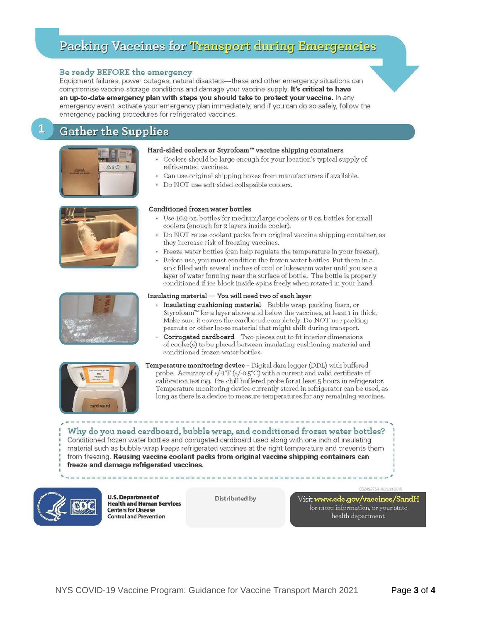# Packing Vaccines for Transport during Emergencies

#### Be ready BEFORE the emergency

Equipment failures, power outages, natural disasters-these and other emergency situations can compromise vaccine storage conditions and damage your vaccine supply. It's critical to have an up-to-date emergency plan with steps you should take to protect your vaccine. In any emergency event, activate your emergency plan immediately, and if you can do so safely, follow the emergency packing procedures for refrigerated vaccines.

## **Gather the Supplies**



1





#### Hard-sided coolers or Styrofoam™ vaccine shipping containers

- Coolers should be large enough for your location's typical supply of refrigerated vaccines.
- Can use original shipping boxes from manufacturers if available.
- Do NOT use soft-sided collapsible coolers.

#### Conditioned frozen water bottles

- Use 16.9 oz. bottles for medium/large coolers or 8 oz. bottles for small coolers (enough for 2 layers inside cooler).
- Do NOT reuse coolant packs from original vaccine shipping container, as they increase risk of freezing vaccines.
- Freeze water bottles (can help regulate the temperature in your freezer).
- Before use, you must condition the frozen water bottles. Put them in a sink filled with several inches of cool or lukewarm water until you see a layer of water forming near the surface of bottle. The bottle is properly conditioned if ice block inside spins freely when rotated in your hand.

#### Insulating material  $-$  You will need two of each layer

- · Insulating cushioning material Bubble wrap, packing foam, or Styrofoam™ for a layer above and below the vaccines, at least 1 in thick. Make sure it covers the cardboard completely. Do NOT use packing peanuts or other loose material that might shift during transport.
- Corrugated cardboard Two pieces cut to fit interior dimensions of cooler(s) to be placed between insulating cushioning material and conditioned frozen water bottles.



Temperature monitoring device - Digital data logger (DDL) with buffered probe. Accuracy of +/-1°F (+/-0.5°C) with a current and valid certificate of calibration testing. Pre-chill buffered probe for at least 5 hours in refrigerator. Temperature monitoring device currently stored in refrigerator can be used, as long as there is a device to measure temperatures for any remaining vaccines.

Why do you need cardboard, bubble wrap, and conditioned frozen water bottles? Conditioned frozen water bottles and corrugated cardboard used along with one inch of insulating material such as bubble wrap keeps refrigerated vaccines at the right temperature and prevents them from freezing. Reusing vaccine coolant packs from original vaccine shipping containers can freeze and damage refrigerated vaccines.



**U.S. Department of Health and Human Services Centers for Disease Control and Prevention** 

**Distributed by** 

Visit www.ede.gov/vaecines/SandH for more information, or your state health department.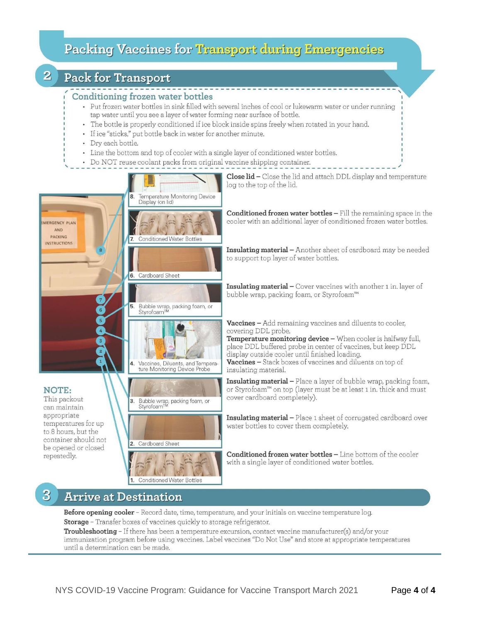# Packing Vaccines for Transport during Emergencies

# **Pack for Transport**

 $\overline{2}$ 

## Conditioning frozen water bottles

- Put frozen water bottles in sink filled with several inches of cool or lukewarm water or under running tap water until you see a layer of water forming near surface of bottle.
- · The bottle is properly conditioned if ice block inside spins freely when rotated in your hand.
- If ice "sticks," put bottle back in water for another minute.
- · Dry each bottle.
- Line the bottom and top of cooler with a single layer of conditioned water bottles.
- Do NOT reuse coolant packs from original vaccine shipping container.



# **Arrive at Destination**

Before opening cooler - Record date, time, temperature, and your initials on vaccine temperature log. Storage - Transfer boxes of vaccines quickly to storage refrigerator.

Troubleshooting - If there has been a temperature excursion, contact vaccine manufacturer(s) and/or your immunization program before using vaccines. Label vaccines "Do Not Use" and store at appropriate temperatures until a determination can be made.